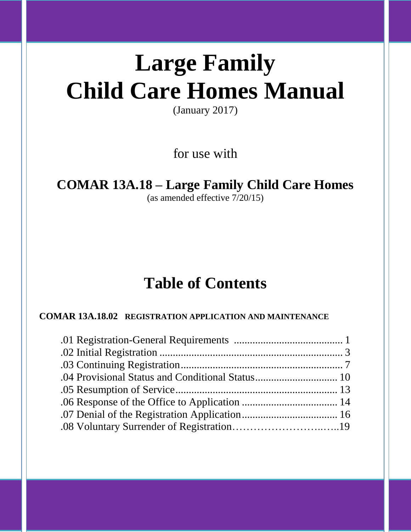# **Large Family Child Care Homes Manual**

(January 2017)

for use with

# **COMAR 13A.18 – Large Family Child Care Homes**

(as amended effective 7/20/15)

# **Table of Contents**

# **COMAR 13A.18.02 REGISTRATION APPLICATION AND MAINTENANCE**

Page **0** of **20**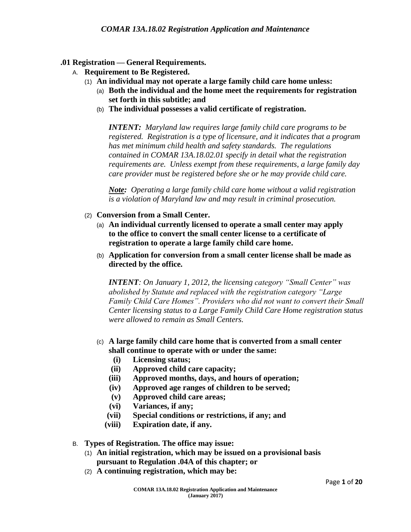#### **.01 Registration — General Requirements.**

- A. **Requirement to Be Registered.**
	- (1) **An individual may not operate a large family child care home unless:**
		- (a) **Both the individual and the home meet the requirements for registration set forth in this subtitle; and**
		- (b) **The individual possesses a valid certificate of registration.**

*INTENT: Maryland law requires large family child care programs to be registered. Registration is a type of licensure, and it indicates that a program has met minimum child health and safety standards. The regulations contained in COMAR 13A.18.02.01 specify in detail what the registration requirements are. Unless exempt from these requirements, a large family day care provider must be registered before she or he may provide child care.*

*Note: Operating a large family child care home without a valid registration is a violation of Maryland law and may result in criminal prosecution.*

- (2) **Conversion from a Small Center.**
	- (a) **An individual currently licensed to operate a small center may apply to the office to convert the small center license to a certificate of registration to operate a large family child care home.**
	- (b) **Application for conversion from a small center license shall be made as directed by the office.**

*INTENT: On January 1, 2012, the licensing category "Small Center" was abolished by Statute and replaced with the registration category "Large Family Child Care Homes". Providers who did not want to convert their Small Center licensing status to a Large Family Child Care Home registration status were allowed to remain as Small Centers.*

- (c) **A large family child care home that is converted from a small center shall continue to operate with or under the same:**
	- **(i) Licensing status;**
	- **(ii) Approved child care capacity;**
	- **(iii) Approved months, days, and hours of operation;**
	- **(iv) Approved age ranges of children to be served;**
	- **(v) Approved child care areas;**
	- **(vi) Variances, if any;**
	- **(vii) Special conditions or restrictions, if any; and**
	- **(viii) Expiration date, if any.**
- B. **Types of Registration. The office may issue:**
	- (1) **An initial registration, which may be issued on a provisional basis pursuant to Regulation .04A of this chapter; or**
	- (2) **A continuing registration, which may be:**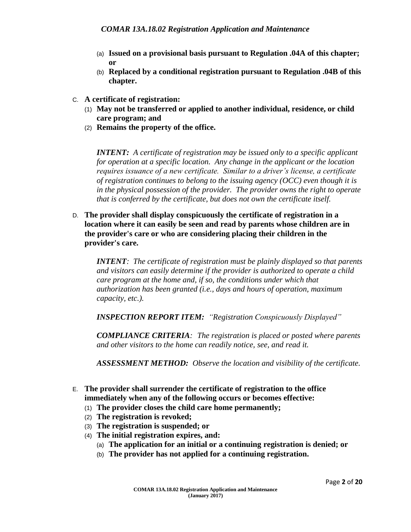- (a) **Issued on a provisional basis pursuant to Regulation .04A of this chapter; or**
- (b) **Replaced by a conditional registration pursuant to Regulation .04B of this chapter.**
- C. **A certificate of registration:**
	- (1) **May not be transferred or applied to another individual, residence, or child care program; and**
	- (2) **Remains the property of the office.**

*INTENT: A certificate of registration may be issued only to a specific applicant for operation at a specific location. Any change in the applicant or the location requires issuance of a new certificate. Similar to a driver's license, a certificate of registration continues to belong to the issuing agency (OCC) even though it is in the physical possession of the provider. The provider owns the right to operate that is conferred by the certificate, but does not own the certificate itself.*

D. **The provider shall display conspicuously the certificate of registration in a location where it can easily be seen and read by parents whose children are in the provider's care or who are considering placing their children in the provider's care.**

*INTENT: The certificate of registration must be plainly displayed so that parents and visitors can easily determine if the provider is authorized to operate a child care program at the home and, if so, the conditions under which that authorization has been granted (i.e., days and hours of operation, maximum capacity, etc.).*

*INSPECTION REPORT ITEM: "Registration Conspicuously Displayed"* 

*COMPLIANCE CRITERIA: The registration is placed or posted where parents and other visitors to the home can readily notice, see, and read it.* 

*ASSESSMENT METHOD: Observe the location and visibility of the certificate.*

- E. **The provider shall surrender the certificate of registration to the office immediately when any of the following occurs or becomes effective:**
	- (1) **The provider closes the child care home permanently;**
	- (2) **The registration is revoked;**
	- (3) **The registration is suspended; or**
	- (4) **The initial registration expires, and:**
		- (a) **The application for an initial or a continuing registration is denied; or**
		- (b) **The provider has not applied for a continuing registration.**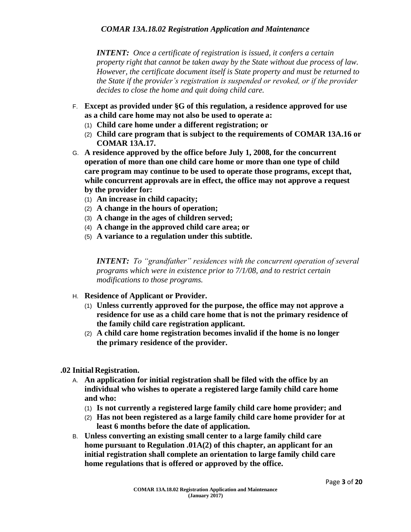*INTENT: Once a certificate of registration is issued, it confers a certain property right that cannot be taken away by the State without due process of law. However, the certificate document itself is State property and must be returned to the State if the provider's registration is suspended or revoked, or if the provider decides to close the home and quit doing child care.*

- F. **Except as provided under §G of this regulation, a residence approved for use as a child care home may not also be used to operate a:**
	- (1) **Child care home under a different registration; or**
	- (2) **Child care program that is subject to the requirements of COMAR 13A.16 or COMAR 13A.17.**
- G. **A residence approved by the office before July 1, 2008, for the concurrent operation of more than one child care home or more than one type of child care program may continue to be used to operate those programs, except that, while concurrent approvals are in effect, the office may not approve a request by the provider for:**
	- (1) **An increase in child capacity;**
	- (2) **A change in the hours of operation;**
	- (3) **A change in the ages of children served;**
	- (4) **A change in the approved child care area; or**
	- (5) **A variance to a regulation under this subtitle.**

*INTENT: To "grandfather" residences with the concurrent operation of several programs which were in existence prior to 7/1/08, and to restrict certain modifications to those programs.*

- H. **Residence of Applicant or Provider.**
	- (1) **Unless currently approved for the purpose, the office may not approve a residence for use as a child care home that is not the primary residence of the family child care registration applicant.**
	- (2) **A child care home registration becomes invalid if the home is no longer the primary residence of the provider.**
- **.02 Initial Registration.**
	- A. **An application for initial registration shall be filed with the office by an individual who wishes to operate a registered large family child care home and who:**
		- (1) **Is not currently a registered large family child care home provider; and**
		- (2) **Has not been registered as a large family child care home provider for at least 6 months before the date of application.**
	- B. **Unless converting an existing small center to a large family child care home pursuant to Regulation .01A(2) of this chapter, an applicant for an initial registration shall complete an orientation to large family child care home regulations that is offered or approved by the office.**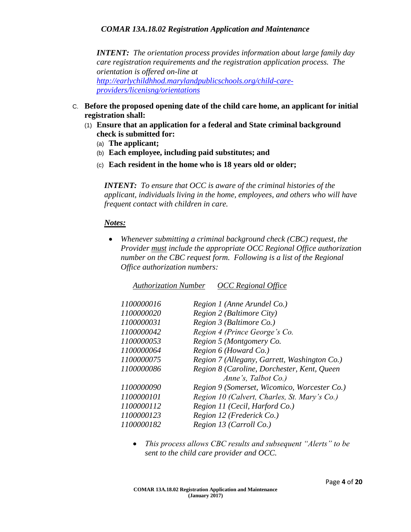#### *COMAR 13A.18.02 Registration Application and Maintenance*

*INTENT: The orientation process provides information about large family day care registration requirements and the registration application process. The orientation is offered on-line at [http://earlychildhhod.marylandpublicschools.org/child-care](http://earlychildhhod.marylandpublicschools.org/child-care-providers/licenisng/orientations)[providers/licenisng/orientations](http://earlychildhhod.marylandpublicschools.org/child-care-providers/licenisng/orientations)*

- C. **Before the proposed opening date of the child care home, an applicant for initial registration shall:**
	- (1) **Ensure that an application for a federal and State criminal background check is submitted for:**
		- (a) **The applicant;**
		- (b) **Each employee, including paid substitutes; and**
		- (c) **Each resident in the home who is 18 years old or older;**

*INTENT: To ensure that OCC is aware of the criminal histories of the applicant, individuals living in the home, employees, and others who will have frequent contact with children in care.* 

#### *Notes:*

 *Whenever submitting a criminal background check (CBC) request, the Provider must include the appropriate OCC Regional Office authorization number on the CBC request form. Following is a list of the Regional Office authorization numbers:*

| <b>Authorization Number</b> | <b>OCC</b> Regional Office                   |
|-----------------------------|----------------------------------------------|
| 1100000016                  | Region 1 (Anne Arundel Co.)                  |
| 1100000020                  | Region 2 (Baltimore City)                    |
| 1100000031                  | Region 3 (Baltimore Co.)                     |
| 1100000042                  | Region 4 (Prince George's Co.                |
| 1100000053                  | Region 5 (Montgomery Co.                     |
| 1100000064                  | Region 6 (Howard Co.)                        |
| 1100000075                  | Region 7 (Allegany, Garrett, Washington Co.) |
| 1100000086                  | Region 8 (Caroline, Dorchester, Kent, Queen  |
|                             | Anne's, Talbot Co.)                          |
| 1100000090                  | Region 9 (Somerset, Wicomico, Worcester Co.) |
| 1100000101                  | Region 10 (Calvert, Charles, St. Mary's Co.) |
| 1100000112                  | Region 11 (Cecil, Harford Co.)               |
| 1100000123                  | Region 12 (Frederick Co.)                    |
| 1100000182                  | Region 13 (Carroll Co.)                      |
|                             |                                              |

 *This process allows CBC results and subsequent "Alerts" to be sent to the child care provider and OCC.*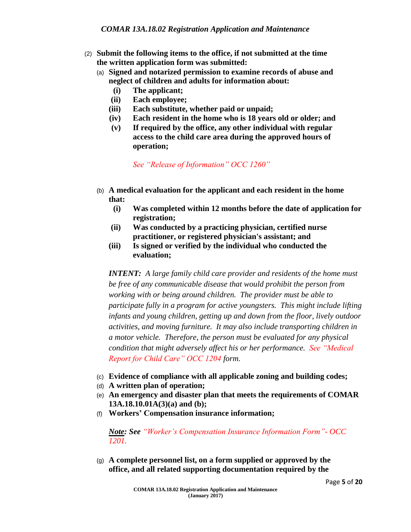- (2) **Submit the following items to the office, if not submitted at the time the written application form was submitted:**
	- (a) **Signed and notarized permission to examine records of abuse and neglect of children and adults for information about:**
		- **(i) The applicant;**
		- **(ii) Each employee;**
		- **(iii) Each substitute, whether paid or unpaid;**
		- **(iv) Each resident in the home who is 18 years old or older; and**
		- **(v) If required by the office, any other individual with regular access to the child care area during the approved hours of operation;**

*See "Release of Information" OCC 1260"*

- (b) **A medical evaluation for the applicant and each resident in the home that:**
	- **(i) Was completed within 12 months before the date of application for registration;**
	- **(ii) Was conducted by a practicing physician, certified nurse practitioner, or registered physician's assistant; and**
	- **(iii) Is signed or verified by the individual who conducted the evaluation;**

*INTENT: A large family child care provider and residents of the home must be free of any communicable disease that would prohibit the person from working with or being around children. The provider must be able to participate fully in a program for active youngsters. This might include lifting infants and young children, getting up and down from the floor, lively outdoor activities, and moving furniture. It may also include transporting children in a motor vehicle. Therefore, the person must be evaluated for any physical condition that might adversely affect his or her performance. See "Medical Report for Child Care" OCC 1204 form.*

- (c) **Evidence of compliance with all applicable zoning and building codes;**
- (d) **A written plan of operation;**
- (e) **An emergency and disaster plan that meets the requirements of COMAR 13A.18.10.01A(3)(a) and (b);**
- (f) **Workers' Compensation insurance information;**

*Note: See "Worker's Compensation Insurance Information Form"- OCC 1201.*

(g) **A complete personnel list, on a form supplied or approved by the office, and all related supporting documentation required by the**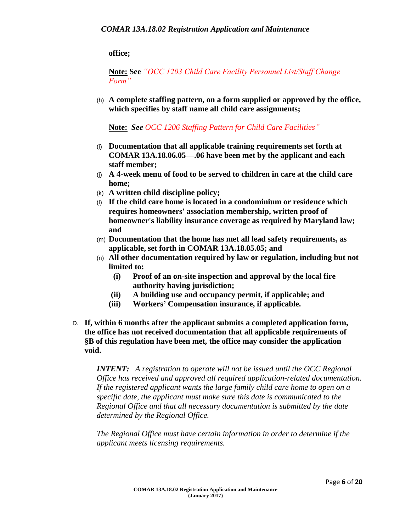**office;**

**Note: See** *"OCC 1203 Child Care Facility Personnel List/Staff Change Form"*

(h) **A complete staffing pattern, on a form supplied or approved by the office, which specifies by staff name all child care assignments;**

**Note:** *See OCC 1206 Staffing Pattern for Child Care Facilities"*

- (i) **Documentation that all applicable training requirements set forth at COMAR 13A.18.06.05—.06 have been met by the applicant and each staff member;**
- (j) **A 4-week menu of food to be served to children in care at the child care home;**
- (k) **A written child discipline policy;**
- (l) **If the child care home is located in a condominium or residence which requires homeowners' association membership, written proof of homeowner's liability insurance coverage as required by Maryland law; and**
- (m) **Documentation that the home has met all lead safety requirements, as applicable, set forth in COMAR 13A.18.05.05; and**
- (n) **All other documentation required by law or regulation, including but not limited to:**
	- **(i) Proof of an on-site inspection and approval by the local fire authority having jurisdiction;**
	- **(ii) A building use and occupancy permit, if applicable; and**
	- **(iii) Workers' Compensation insurance, if applicable.**
- D. **If, within 6 months after the applicant submits a completed application form, the office has not received documentation that all applicable requirements of §B of this regulation have been met, the office may consider the application void.**

*INTENT: A registration to operate will not be issued until the OCC Regional Office has received and approved all required application-related documentation. If the registered applicant wants the large family child care home to open on a specific date, the applicant must make sure this date is communicated to the Regional Office and that all necessary documentation is submitted by the date determined by the Regional Office.*

*The Regional Office must have certain information in order to determine if the applicant meets licensing requirements.*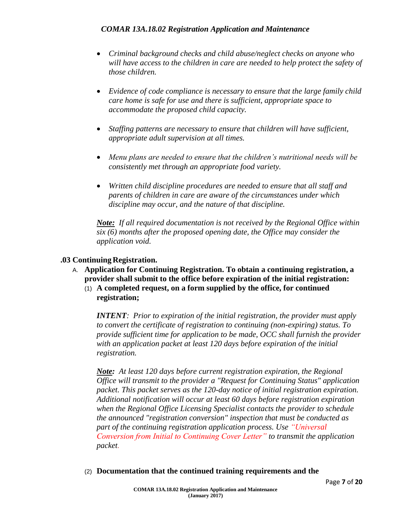# *COMAR 13A.18.02 Registration Application and Maintenance*

- *Criminal background checks and child abuse/neglect checks on anyone who will have access to the children in care are needed to help protect the safety of those children.*
- *Evidence of code compliance is necessary to ensure that the large family child care home is safe for use and there is sufficient, appropriate space to accommodate the proposed child capacity.*
- *Staffing patterns are necessary to ensure that children will have sufficient, appropriate adult supervision at all times.*
- *Menu plans are needed to ensure that the children's nutritional needs will be consistently met through an appropriate food variety.*
- *Written child discipline procedures are needed to ensure that all staff and parents of children in care are aware of the circumstances under which discipline may occur, and the nature of that discipline.*

*Note: If all required documentation is not received by the Regional Office within six (6) months after the proposed opening date, the Office may consider the application void.*

#### **.03 Continuing Registration.**

- A. **Application for Continuing Registration. To obtain a continuing registration, a provider shall submit to the office before expiration of the initial registration:**
	- (1) **A completed request, on a form supplied by the office, for continued registration;**

*INTENT: Prior to expiration of the initial registration, the provider must apply to convert the certificate of registration to continuing (non-expiring) status. To provide sufficient time for application to be made, OCC shall furnish the provider with an application packet at least 120 days before expiration of the initial registration.*

*Note: At least 120 days before current registration expiration, the Regional Office will transmit to the provider a "Request for Continuing Status" application packet. This packet serves as the 120-day notice of initial registration expiration. Additional notification will occur at least 60 days before registration expiration when the Regional Office Licensing Specialist contacts the provider to schedule the announced "registration conversion" inspection that must be conducted as part of the continuing registration application process. Use "Universal Conversion from Initial to Continuing Cover Letter" to transmit the application packet.*

(2) **Documentation that the continued training requirements and the**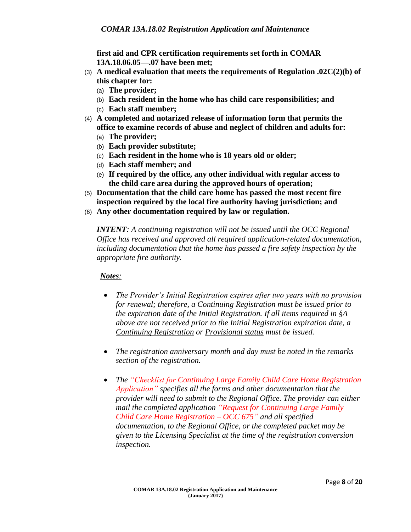**first aid and CPR certification requirements set forth in COMAR 13A.18.06.05—.07 have been met;**

- (3) **A medical evaluation that meets the requirements of Regulation .02C(2)(b) of this chapter for:**
	- (a) **The provider;**
	- (b) **Each resident in the home who has child care responsibilities; and**
	- (c) **Each staff member;**
- (4) **A completed and notarized release of information form that permits the office to examine records of abuse and neglect of children and adults for:**
	- (a) **The provider;**
	- (b) **Each provider substitute;**
	- (c) **Each resident in the home who is 18 years old or older;**
	- (d) **Each staff member; and**
	- (e) **If required by the office, any other individual with regular access to the child care area during the approved hours of operation;**
- (5) **Documentation that the child care home has passed the most recent fire inspection required by the local fire authority having jurisdiction; and**
- (6) **Any other documentation required by law or regulation.**

*INTENT: A continuing registration will not be issued until the OCC Regional Office has received and approved all required application-related documentation, including documentation that the home has passed a fire safety inspection by the appropriate fire authority.*

#### *Notes:*

- *The Provider's Initial Registration expires after two years with no provision for renewal; therefore, a Continuing Registration must be issued prior to the expiration date of the Initial Registration. If all items required in §A above are not received prior to the Initial Registration expiration date, a Continuing Registration or Provisional status must be issued.*
- *The registration anniversary month and day must be noted in the remarks section of the registration.*
- *The "Checklist for Continuing Large Family Child Care Home Registration Application" specifies all the forms and other documentation that the provider will need to submit to the Regional Office. The provider can either mail the completed application "Request for Continuing Large Family Child Care Home Registration – OCC 675" and all specified documentation, to the Regional Office, or the completed packet may be given to the Licensing Specialist at the time of the registration conversion inspection.*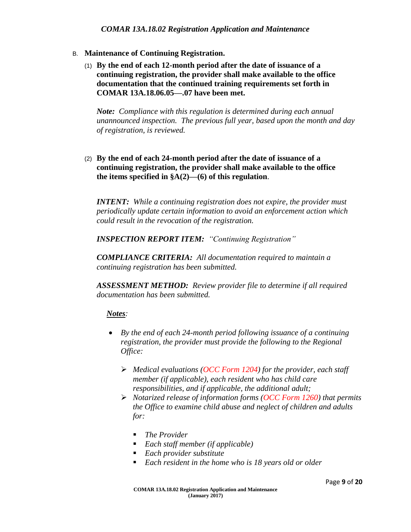- B. **Maintenance of Continuing Registration.**
	- (1) **By the end of each 12-month period after the date of issuance of a continuing registration, the provider shall make available to the office documentation that the continued training requirements set forth in COMAR 13A.18.06.05—.07 have been met.**

*Note: Compliance with this regulation is determined during each annual unannounced inspection. The previous full year, based upon the month and day of registration, is reviewed.*

(2) **By the end of each 24-month period after the date of issuance of a continuing registration, the provider shall make available to the office the items specified in §A(2)—(6) of this regulation**.

*INTENT: While a continuing registration does not expire, the provider must periodically update certain information to avoid an enforcement action which could result in the revocation of the registration.*

*INSPECTION REPORT ITEM: "Continuing Registration"* 

*COMPLIANCE CRITERIA: All documentation required to maintain a continuing registration has been submitted.*

*ASSESSMENT METHOD: Review provider file to determine if all required documentation has been submitted.*

# *Notes:*

- *By the end of each 24-month period following issuance of a continuing registration, the provider must provide the following to the Regional Office:*
	- *Medical evaluations (OCC Form 1204) for the provider, each staff member (if applicable), each resident who has child care responsibilities, and if applicable, the additional adult;*
	- *Notarized release of information forms (OCC Form 1260) that permits the Office to examine child abuse and neglect of children and adults for:*
		- *The Provider*
		- *Each staff member (if applicable)*
		- *Each provider substitute*
		- *Each resident in the home who is 18 years old or older*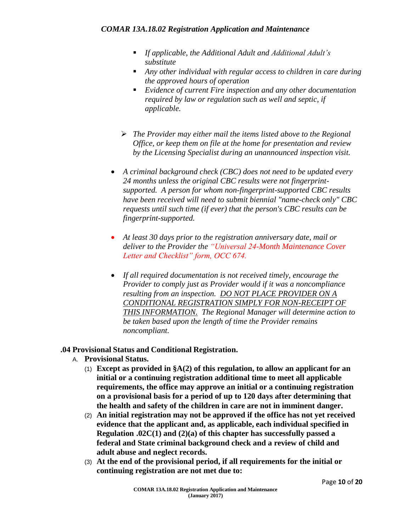- *If applicable, the Additional Adult and Additional Adult's substitute*
- *Any other individual with regular access to children in care during the approved hours of operation*
- *Evidence of current Fire inspection and any other documentation required by law or regulation such as well and septic, if applicable.*
- *The Provider may either mail the items listed above to the Regional Office, or keep them on file at the home for presentation and review by the Licensing Specialist during an unannounced inspection visit.*
- *A criminal background check (CBC) does not need to be updated every 24 months unless the original CBC results were not fingerprintsupported. A person for whom non-fingerprint-supported CBC results have been received will need to submit biennial "name-check only" CBC requests until such time (if ever) that the person's CBC results can be fingerprint-supported.*
- *At least 30 days prior to the registration anniversary date, mail or deliver to the Provider the "Universal 24-Month Maintenance Cover Letter and Checklist" form, OCC 674.*
- *If all required documentation is not received timely, encourage the Provider to comply just as Provider would if it was a noncompliance resulting from an inspection. DO NOT PLACE PROVIDER ON A CONDITIONAL REGISTRATION SIMPLY FOR NON-RECEIPT OF THIS INFORMATION. The Regional Manager will determine action to be taken based upon the length of time the Provider remains noncompliant.*

# **.04 Provisional Status and Conditional Registration.**

- A. **Provisional Status.**
	- (1) **Except as provided in §A(2) of this regulation, to allow an applicant for an initial or a continuing registration additional time to meet all applicable requirements, the office may approve an initial or a continuing registration on a provisional basis for a period of up to 120 days after determining that the health and safety of the children in care are not in imminent danger.**
	- (2) **An initial registration may not be approved if the office has not yet received evidence that the applicant and, as applicable, each individual specified in Regulation .02C(1) and (2)(a) of this chapter has successfully passed a federal and State criminal background check and a review of child and adult abuse and neglect records.**
	- (3) **At the end of the provisional period, if all requirements for the initial or continuing registration are not met due to:**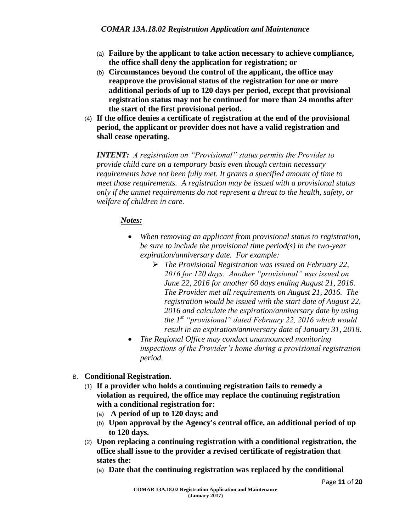- (a) **Failure by the applicant to take action necessary to achieve compliance, the office shall deny the application for registration; or**
- (b) **Circumstances beyond the control of the applicant, the office may reapprove the provisional status of the registration for one or more additional periods of up to 120 days per period, except that provisional registration status may not be continued for more than 24 months after the start of the first provisional period.**
- (4) **If the office denies a certificate of registration at the end of the provisional period, the applicant or provider does not have a valid registration and shall cease operating.**

*INTENT: A registration on "Provisional" status permits the Provider to provide child care on a temporary basis even though certain necessary requirements have not been fully met. It grants a specified amount of time to meet those requirements. A registration may be issued with a provisional status only if the unmet requirements do not represent a threat to the health, safety, or welfare of children in care.* 

# *Notes:*

- *When removing an applicant from provisional status to registration, be sure to include the provisional time period(s) in the two-year expiration/anniversary date. For example:*
	- *The Provisional Registration was issued on February 22, 2016 for 120 days. Another "provisional" was issued on June 22, 2016 for another 60 days ending August 21, 2016. The Provider met all requirements on August 21, 2016. The registration would be issued with the start date of August 22, 2016 and calculate the expiration/anniversary date by using the 1st "provisional" dated February 22, 2016 which would result in an expiration/anniversary date of January 31, 2018.*
- *The Regional Office may conduct unannounced monitoring inspections of the Provider's home during a provisional registration period.*
- B. **Conditional Registration.**
	- (1) **If a provider who holds a continuing registration fails to remedy a violation as required, the office may replace the continuing registration with a conditional registration for:**
		- (a) **A period of up to 120 days; and**
		- (b) **Upon approval by the Agency's central office, an additional period of up to 120 days.**
	- (2) **Upon replacing a continuing registration with a conditional registration, the office shall issue to the provider a revised certificate of registration that states the:**
		- (a) **Date that the continuing registration was replaced by the conditional**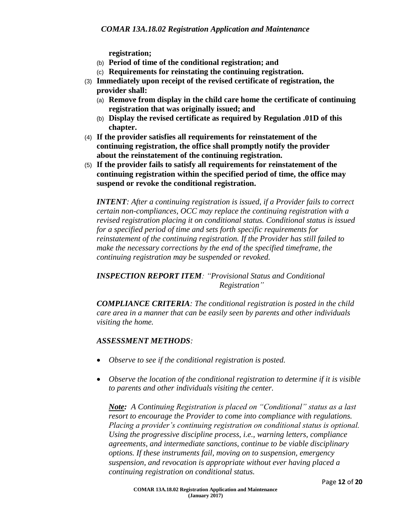**registration;**

- (b) **Period of time of the conditional registration; and**
- (c) **Requirements for reinstating the continuing registration.**
- (3) **Immediately upon receipt of the revised certificate of registration, the provider shall:**
	- (a) **Remove from display in the child care home the certificate of continuing registration that was originally issued; and**
	- (b) **Display the revised certificate as required by Regulation .01D of this chapter.**
- (4) **If the provider satisfies all requirements for reinstatement of the continuing registration, the office shall promptly notify the provider about the reinstatement of the continuing registration.**
- (5) **If the provider fails to satisfy all requirements for reinstatement of the continuing registration within the specified period of time, the office may suspend or revoke the conditional registration.**

*INTENT: After a continuing registration is issued, if a Provider fails to correct certain non-compliances, OCC may replace the continuing registration with a revised registration placing it on conditional status. Conditional status is issued for a specified period of time and sets forth specific requirements for reinstatement of the continuing registration. If the Provider has still failed to make the necessary corrections by the end of the specified timeframe, the continuing registration may be suspended or revoked.*

*INSPECTION REPORT ITEM: "Provisional Status and Conditional Registration"*

*COMPLIANCE CRITERIA: The conditional registration is posted in the child care area in a manner that can be easily seen by parents and other individuals visiting the home.*

# *ASSESSMENT METHODS:*

- *Observe to see if the conditional registration is posted.*
- *Observe the location of the conditional registration to determine if it is visible to parents and other individuals visiting the center.*

*Note: A Continuing Registration is placed on "Conditional" status as a last resort to encourage the Provider to come into compliance with regulations. Placing a provider's continuing registration on conditional status is optional. Using the progressive discipline process, i.e., warning letters, compliance agreements, and intermediate sanctions, continue to be viable disciplinary options. If these instruments fail, moving on to suspension, emergency suspension, and revocation is appropriate without ever having placed a continuing registration on conditional status.*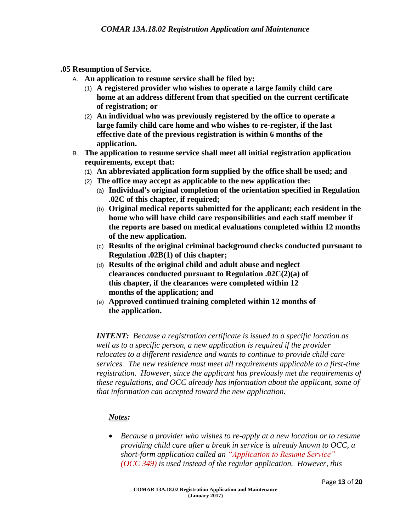- **.05 Resumption of Service.**
	- A. **An application to resume service shall be filed by:**
		- (1) **A registered provider who wishes to operate a large family child care home at an address different from that specified on the current certificate of registration; or**
		- (2) **An individual who was previously registered by the office to operate a large family child care home and who wishes to re-register, if the last effective date of the previous registration is within 6 months of the application.**
	- B. **The application to resume service shall meet all initial registration application requirements, except that:**
		- (1) **An abbreviated application form supplied by the office shall be used; and**
		- (2) **The office may accept as applicable to the new application the:**
			- (a) **Individual's original completion of the orientation specified in Regulation .02C of this chapter, if required;**
			- (b) **Original medical reports submitted for the applicant; each resident in the home who will have child care responsibilities and each staff member if the reports are based on medical evaluations completed within 12 months of the new application.**
			- (c) **Results of the original criminal background checks conducted pursuant to Regulation .02B(1) of this chapter;**
			- (d) **Results of the original child and adult abuse and neglect clearances conducted pursuant to Regulation .02C(2)(a) of this chapter, if the clearances were completed within 12 months of the application; and**
			- (e) **Approved continued training completed within 12 months of the application.**

*INTENT: Because a registration certificate is issued to a specific location as well as to a specific person, a new application is required if the provider relocates to a different residence and wants to continue to provide child care services. The new residence must meet all requirements applicable to a first-time registration. However, since the applicant has previously met the requirements of these regulations, and OCC already has information about the applicant, some of that information can accepted toward the new application.* 

# *Notes:*

 *Because a provider who wishes to re-apply at a new location or to resume providing child care after a break in service is already known to OCC, a short-form application called an "Application to Resume Service" (OCC 349) is used instead of the regular application. However, this*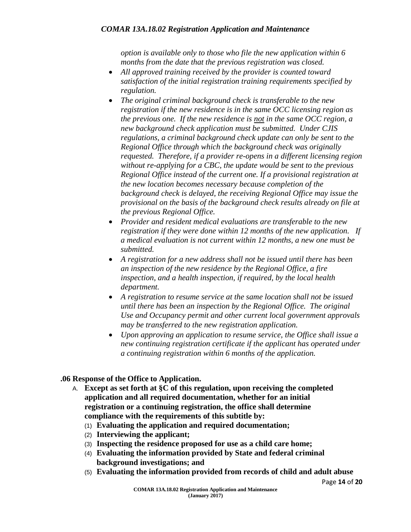*option is available only to those who file the new application within 6 months from the date that the previous registration was closed.*

- *All approved training received by the provider is counted toward satisfaction of the initial registration training requirements specified by regulation.*
- *The original criminal background check is transferable to the new registration if the new residence is in the same OCC licensing region as the previous one. If the new residence is not in the same OCC region, a new background check application must be submitted. Under CJIS regulations, a criminal background check update can only be sent to the Regional Office through which the background check was originally requested. Therefore, if a provider re-opens in a different licensing region without re-applying for a CBC, the update would be sent to the previous Regional Office instead of the current one. If a provisional registration at the new location becomes necessary because completion of the background check is delayed, the receiving Regional Office may issue the provisional on the basis of the background check results already on file at the previous Regional Office.*
- *Provider and resident medical evaluations are transferable to the new registration if they were done within 12 months of the new application. If a medical evaluation is not current within 12 months, a new one must be submitted.*
- *A registration for a new address shall not be issued until there has been an inspection of the new residence by the Regional Office, a fire inspection, and a health inspection, if required, by the local health department.*
- *A registration to resume service at the same location shall not be issued until there has been an inspection by the Regional Office. The original Use and Occupancy permit and other current local government approvals may be transferred to the new registration application.*
- *Upon approving an application to resume service, the Office shall issue a new continuing registration certificate if the applicant has operated under a continuing registration within 6 months of the application.*

# **.06 Response of the Office to Application.**

- A. **Except as set forth at §C of this regulation, upon receiving the completed application and all required documentation, whether for an initial registration or a continuing registration, the office shall determine compliance with the requirements of this subtitle by:**
	- (1) **Evaluating the application and required documentation;**
	- (2) **Interviewing the applicant;**
	- (3) **Inspecting the residence proposed for use as a child care home;**
	- (4) **Evaluating the information provided by State and federal criminal background investigations; and**
	- (5) **Evaluating the information provided from records of child and adult abuse**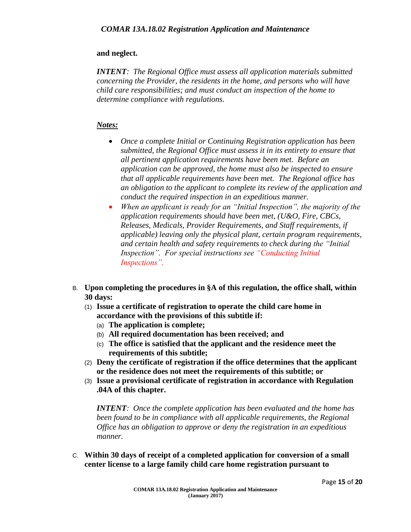#### **and neglect.**

*INTENT: The Regional Office must assess all application materials submitted concerning the Provider, the residents in the home, and persons who will have child care responsibilities; and must conduct an inspection of the home to determine compliance with regulations.*

# *Notes:*

- *Once a complete Initial or Continuing Registration application has been submitted, the Regional Office must assess it in its entirety to ensure that all pertinent application requirements have been met. Before an application can be approved, the home must also be inspected to ensure that all applicable requirements have been met. The Regional office has an obligation to the applicant to complete its review of the application and conduct the required inspection in an expeditious manner.*
- *When an applicant is ready for an "Initial Inspection", the majority of the application requirements should have been met, (U&O, Fire, CBCs, Releases, Medicals, Provider Requirements, and Staff requirements, if applicable) leaving only the physical plant, certain program requirements, and certain health and safety requirements to check during the "Initial Inspection". For special instructions see "Conducting Initial Inspections".*
- B. **Upon completing the procedures in §A of this regulation, the office shall, within 30 days:**
	- (1) **Issue a certificate of registration to operate the child care home in accordance with the provisions of this subtitle if:**
		- (a) **The application is complete;**
		- (b) **All required documentation has been received; and**
		- (c) **The office is satisfied that the applicant and the residence meet the requirements of this subtitle;**
	- (2) **Deny the certificate of registration if the office determines that the applicant or the residence does not meet the requirements of this subtitle; or**
	- (3) **Issue a provisional certificate of registration in accordance with Regulation .04A of this chapter.**

*INTENT: Once the complete application has been evaluated and the home has been found to be in compliance with all applicable requirements, the Regional Office has an obligation to approve or deny the registration in an expeditious manner.*

C. **Within 30 days of receipt of a completed application for conversion of a small center license to a large family child care home registration pursuant to**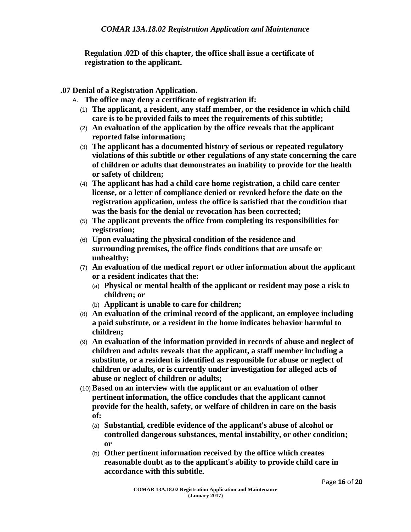**Regulation .02D of this chapter, the office shall issue a certificate of registration to the applicant.**

- **.07 Denial of a Registration Application.**
	- A. **The office may deny a certificate of registration if:**
		- (1) **The applicant, a resident, any staff member, or the residence in which child care is to be provided fails to meet the requirements of this subtitle;**
		- (2) **An evaluation of the application by the office reveals that the applicant reported false information;**
		- (3) **The applicant has a documented history of serious or repeated regulatory violations of this subtitle or other regulations of any state concerning the care of children or adults that demonstrates an inability to provide for the health or safety of children;**
		- (4) **The applicant has had a child care home registration, a child care center license, or a letter of compliance denied or revoked before the date on the registration application, unless the office is satisfied that the condition that was the basis for the denial or revocation has been corrected;**
		- (5) **The applicant prevents the office from completing its responsibilities for registration;**
		- (6) **Upon evaluating the physical condition of the residence and surrounding premises, the office finds conditions that are unsafe or unhealthy;**
		- (7) **An evaluation of the medical report or other information about the applicant or a resident indicates that the:**
			- (a) **Physical or mental health of the applicant or resident may pose a risk to children; or**
			- (b) **Applicant is unable to care for children;**
		- (8) **An evaluation of the criminal record of the applicant, an employee including a paid substitute, or a resident in the home indicates behavior harmful to children;**
		- (9) **An evaluation of the information provided in records of abuse and neglect of children and adults reveals that the applicant, a staff member including a substitute, or a resident is identified as responsible for abuse or neglect of children or adults, or is currently under investigation for alleged acts of abuse or neglect of children or adults;**
		- (10)**Based on an interview with the applicant or an evaluation of other pertinent information, the office concludes that the applicant cannot provide for the health, safety, or welfare of children in care on the basis of:**
			- (a) **Substantial, credible evidence of the applicant's abuse of alcohol or controlled dangerous substances, mental instability, or other condition; or**
			- (b) **Other pertinent information received by the office which creates reasonable doubt as to the applicant's ability to provide child care in accordance with this subtitle.**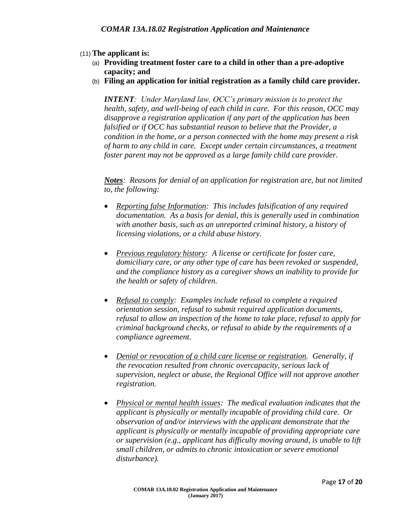# (11)**The applicant is:**

- (a) **Providing treatment foster care to a child in other than a pre-adoptive capacity; and**
- (b) **Filing an application for initial registration as a family child care provider.**

*INTENT: Under Maryland law, OCC's primary mission is to protect the health, safety, and well-being of each child in care. For this reason, OCC may disapprove a registration application if any part of the application has been falsified or if OCC has substantial reason to believe that the Provider, a condition in the home, or a person connected with the home may present a risk of harm to any child in care. Except under certain circumstances, a treatment foster parent may not be approved as a large family child care provider.* 

*Notes: Reasons for denial of an application for registration are, but not limited to, the following:*

- *Reporting false Information: This includes falsification of any required documentation. As a basis for denial, this is generally used in combination with another basis, such as an unreported criminal history, a history of licensing violations, or a child abuse history.*
- *Previous regulatory history: A license or certificate for foster care, domiciliary care, or any other type of care has been revoked or suspended, and the compliance history as a caregiver shows an inability to provide for the health or safety of children.*
- *Refusal to comply: Examples include refusal to complete a required orientation session, refusal to submit required application documents, refusal to allow an inspection of the home to take place, refusal to apply for criminal background checks, or refusal to abide by the requirements of a compliance agreement.*
- *Denial or revocation of a child care license or registration. Generally, if the revocation resulted from chronic overcapacity, serious lack of supervision, neglect or abuse, the Regional Office will not approve another registration.*
- *Physical or mental health issues: The medical evaluation indicates that the applicant is physically or mentally incapable of providing child care. Or observation of and/or interviews with the applicant demonstrate that the applicant is physically or mentally incapable of providing appropriate care or supervision (e.g., applicant has difficulty moving around, is unable to lift small children, or admits to chronic intoxication or severe emotional disturbance).*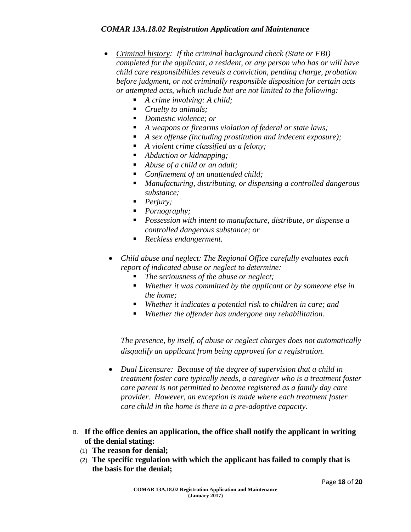#### *COMAR 13A.18.02 Registration Application and Maintenance*

- *Criminal history: If the criminal background check (State or FBI) completed for the applicant, a resident, or any person who has or will have child care responsibilities reveals a conviction, pending charge, probation before judgment, or not criminally responsible disposition for certain acts or attempted acts, which include but are not limited to the following:* 
	- *A crime involving: A child;*
	- *Cruelty to animals;*
	- *Domestic violence; or*
	- *A weapons or firearms violation of federal or state laws;*
	- *A sex offense (including prostitution and indecent exposure);*
	- *A violent crime classified as a felony;*
	- *Abduction or kidnapping;*
	- *Abuse of a child or an adult;*
	- *Confinement of an unattended child;*
	- *Manufacturing, distributing, or dispensing a controlled dangerous substance;*
	- *Perjury;*
	- *Pornography;*
	- *Possession with intent to manufacture, distribute, or dispense a controlled dangerous substance; or*
	- *Reckless endangerment.*
	- *Child abuse and neglect: The Regional Office carefully evaluates each report of indicated abuse or neglect to determine:* 
		- *The seriousness of the abuse or neglect;*
		- *Whether it was committed by the applicant or by someone else in the home;*
		- *Whether it indicates a potential risk to children in care; and*
		- *Whether the offender has undergone any rehabilitation.*

*The presence, by itself, of abuse or neglect charges does not automatically disqualify an applicant from being approved for a registration.* 

- *Dual Licensure: Because of the degree of supervision that a child in treatment foster care typically needs, a caregiver who is a treatment foster care parent is not permitted to become registered as a family day care provider. However, an exception is made where each treatment foster care child in the home is there in a pre-adoptive capacity.*
- B. **If the office denies an application, the office shall notify the applicant in writing of the denial stating:**
	- (1) **The reason for denial;**
	- (2) **The specific regulation with which the applicant has failed to comply that is the basis for the denial;**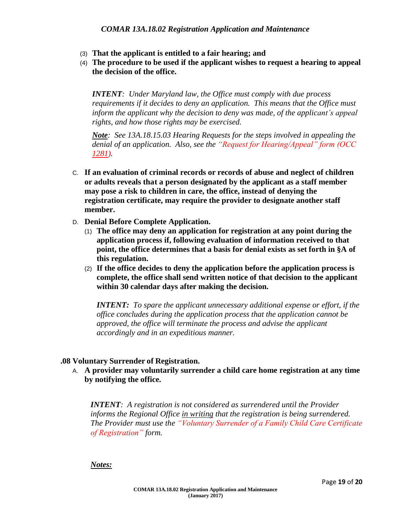- (3) **That the applicant is entitled to a fair hearing; and**
- (4) **The procedure to be used if the applicant wishes to request a hearing to appeal the decision of the office.**

*INTENT: Under Maryland law, the Office must comply with due process requirements if it decides to deny an application. This means that the Office must inform the applicant why the decision to deny was made, of the applicant's appeal rights, and how those rights may be exercised.*

*Note: See 13A.18.15.03 Hearing Requests for the steps involved in appealing the denial of an application. Also, see the "Request for Hearing/Appeal" form (OCC 1281).* 

- C. **If an evaluation of criminal records or records of abuse and neglect of children or adults reveals that a person designated by the applicant as a staff member may pose a risk to children in care, the office, instead of denying the registration certificate, may require the provider to designate another staff member.**
- D. **Denial Before Complete Application.**
	- (1) **The office may deny an application for registration at any point during the application process if, following evaluation of information received to that point, the office determines that a basis for denial exists as set forth in §A of this regulation.**
	- (2) **If the office decides to deny the application before the application process is complete, the office shall send written notice of that decision to the applicant within 30 calendar days after making the decision.**

*INTENT: To spare the applicant unnecessary additional expense or effort, if the office concludes during the application process that the application cannot be approved, the office will terminate the process and advise the applicant accordingly and in an expeditious manner.* 

#### **.08 Voluntary Surrender of Registration.**

A. **A provider may voluntarily surrender a child care home registration at any time by notifying the office.**

*INTENT: A registration is not considered as surrendered until the Provider informs the Regional Office in writing that the registration is being surrendered. The Provider must use the "Voluntary Surrender of a Family Child Care Certificate of Registration" form.*

#### *Notes:*